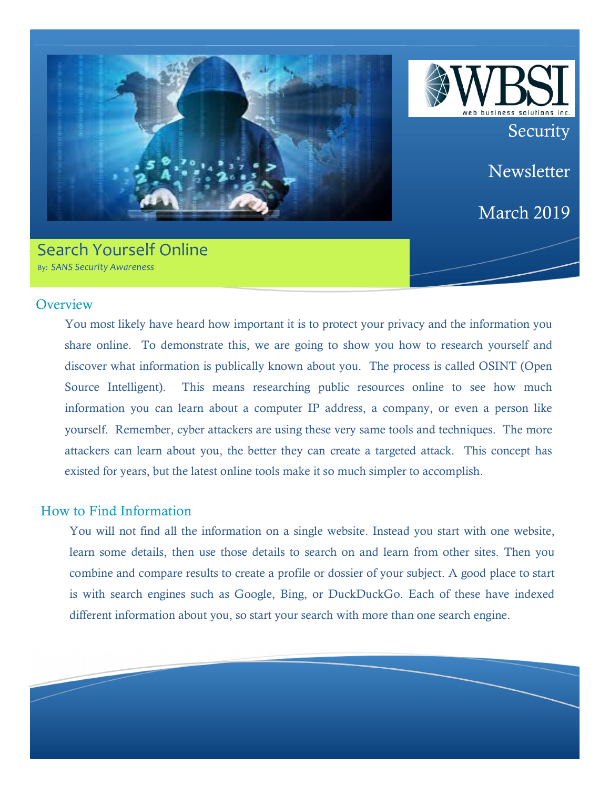

# Search Yourself Online By: SANS Security Awareness



**Newsletter** 

March 2019

#### **Overview**

You most likely have heard how important it is to protect your privacy and the information you share online. To demonstrate this, we are going to show you how to research yourself and discover what information is publically known about you. The process is called OSINT (Open Source Intelligent). This means researching public resources online to see how much information you can learn about a computer IP address, a company, or even a person like yourself. Remember, cyber attackers are using these very same tools and techniques. The more attackers can learn about you, the better they can create a targeted attack. This concept has existed for years, but the latest online tools make it so much simpler to accomplish.

### How to Find Information

You will not find all the information on a single website. Instead you start with one website, learn some details, then use those details to search on and learn from other sites. Then you combine and compare results to create a profile or dossier of your subject. A good place to start is with search engines such as Google, Bing, or DuckDuckGo. Each of these have indexed different information about you, so start your search with more than one search engine.

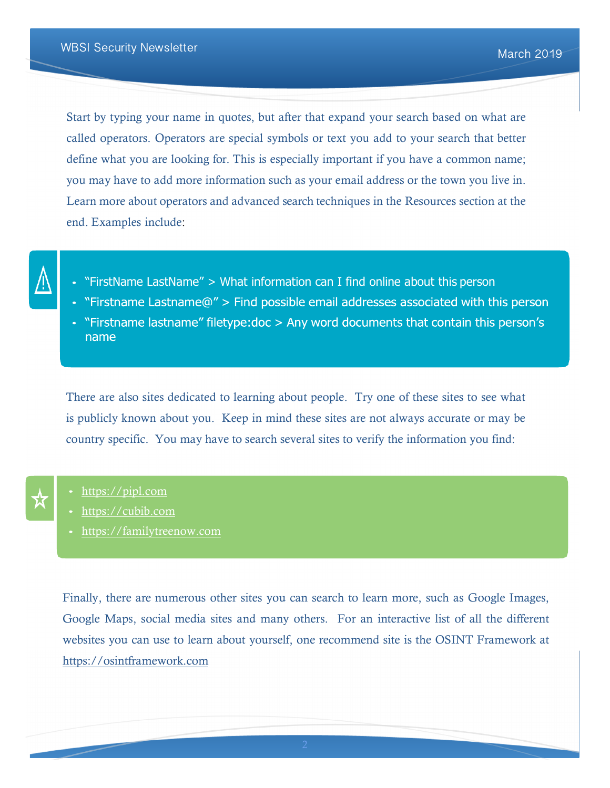Start by typing your name in quotes, but after that expand your search based on what are called operators. Operators are special symbols or text you add to your search that better define what you are looking for. This is especially important if you have a common name; you may have to add more information such as your email address or the town you live in. Learn more about operators and advanced search techniques in the Resources section at the end. Examples include:



- "FirstName LastName" > What information can I find online about this person
- "Firstname Lastname@" > Find possible email addresses associated with this person
- "Firstname lastname" filetype: doc > Any word documents that contain this person's name

There are also sites dedicated to learning about people. Try one of these sites to see what is publicly known about you. Keep in mind these sites are not always accurate or may be country specific. You may have to search several sites to verify the information you find:

- https://pipl.com
- https://cubib.com
- https://familytreenow.com

Finally, there are numerous other sites you can search to learn more, such as Google Images, Google Maps, social media sites and many others. For an interactive list of all the different websites you can use to learn about yourself, one recommend site is the OSINT Framework at https://osintframework.com